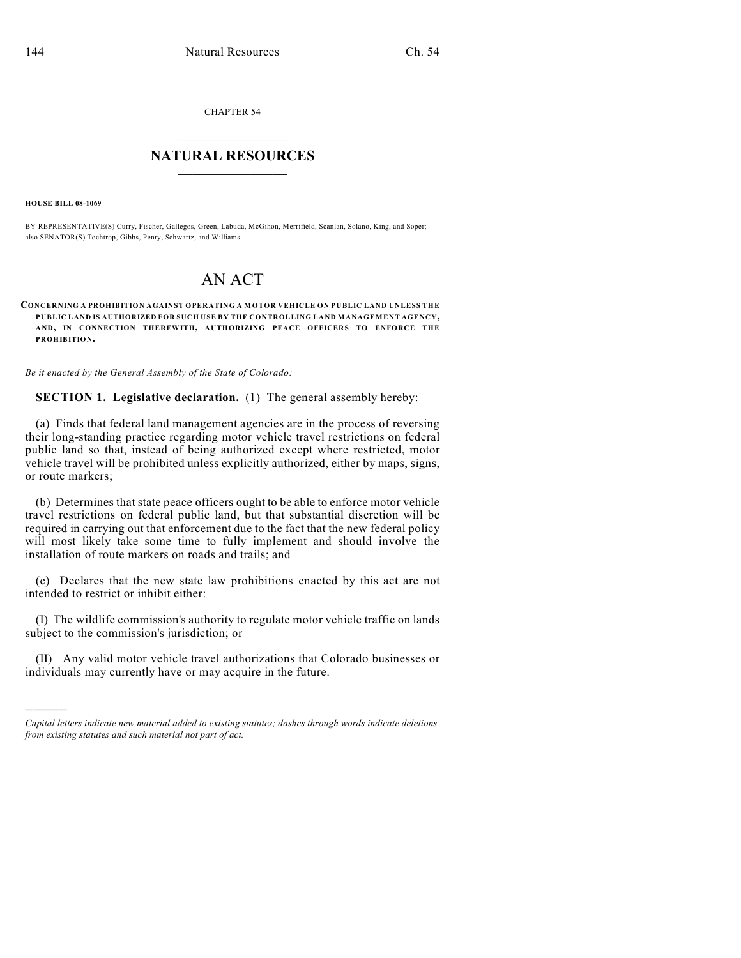CHAPTER 54  $\overline{\phantom{a}}$  . The set of the set of the set of the set of the set of the set of the set of the set of the set of the set of the set of the set of the set of the set of the set of the set of the set of the set of the set o

## **NATURAL RESOURCES**  $\frac{1}{\sqrt{2}}$  , where  $\frac{1}{\sqrt{2}}$  ,  $\frac{1}{\sqrt{2}}$  ,  $\frac{1}{\sqrt{2}}$

**HOUSE BILL 08-1069**

)))))

BY REPRESENTATIVE(S) Curry, Fischer, Gallegos, Green, Labuda, McGihon, Merrifield, Scanlan, Solano, King, and Soper; also SENATOR(S) Tochtrop, Gibbs, Penry, Schwartz, and Williams.

## AN ACT

## **CONCERNING A PROHIBITION AGAINST OPERATING A MOTOR VEHICLE ON PUBLIC LAND UNLESS THE PUBLIC LAND IS AUTHORIZED FOR SUCH USE BY THE CONTROLLING LAND MANAGEMENT AGENCY, AND, IN CONNECTION THEREWITH, AUTHORIZING PEACE OFFICERS TO ENFORCE THE PROHIBITION.**

*Be it enacted by the General Assembly of the State of Colorado:*

**SECTION 1. Legislative declaration.** (1) The general assembly hereby:

(a) Finds that federal land management agencies are in the process of reversing their long-standing practice regarding motor vehicle travel restrictions on federal public land so that, instead of being authorized except where restricted, motor vehicle travel will be prohibited unless explicitly authorized, either by maps, signs, or route markers;

(b) Determines that state peace officers ought to be able to enforce motor vehicle travel restrictions on federal public land, but that substantial discretion will be required in carrying out that enforcement due to the fact that the new federal policy will most likely take some time to fully implement and should involve the installation of route markers on roads and trails; and

(c) Declares that the new state law prohibitions enacted by this act are not intended to restrict or inhibit either:

(I) The wildlife commission's authority to regulate motor vehicle traffic on lands subject to the commission's jurisdiction; or

(II) Any valid motor vehicle travel authorizations that Colorado businesses or individuals may currently have or may acquire in the future.

*Capital letters indicate new material added to existing statutes; dashes through words indicate deletions from existing statutes and such material not part of act.*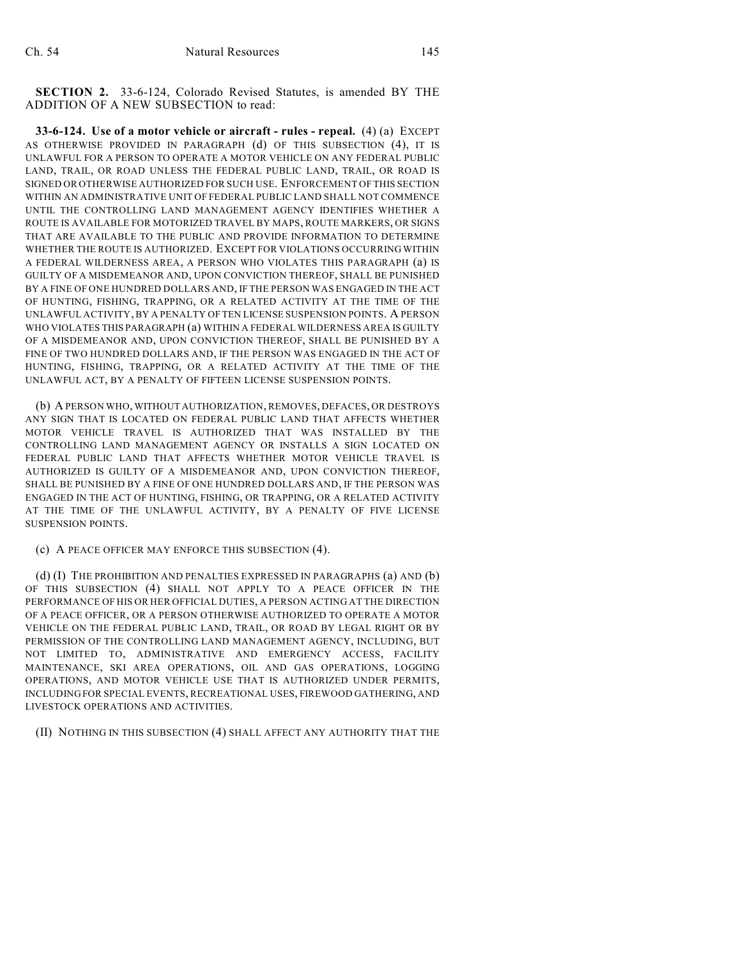**SECTION 2.** 33-6-124, Colorado Revised Statutes, is amended BY THE ADDITION OF A NEW SUBSECTION to read:

**33-6-124. Use of a motor vehicle or aircraft - rules - repeal.** (4) (a) EXCEPT AS OTHERWISE PROVIDED IN PARAGRAPH (d) OF THIS SUBSECTION (4), IT IS UNLAWFUL FOR A PERSON TO OPERATE A MOTOR VEHICLE ON ANY FEDERAL PUBLIC LAND, TRAIL, OR ROAD UNLESS THE FEDERAL PUBLIC LAND, TRAIL, OR ROAD IS SIGNED OR OTHERWISE AUTHORIZED FOR SUCH USE. ENFORCEMENT OF THIS SECTION WITHIN AN ADMINISTRATIVE UNIT OF FEDERAL PUBLIC LAND SHALL NOT COMMENCE UNTIL THE CONTROLLING LAND MANAGEMENT AGENCY IDENTIFIES WHETHER A ROUTE IS AVAILABLE FOR MOTORIZED TRAVEL BY MAPS, ROUTE MARKERS, OR SIGNS THAT ARE AVAILABLE TO THE PUBLIC AND PROVIDE INFORMATION TO DETERMINE WHETHER THE ROUTE IS AUTHORIZED. EXCEPT FOR VIOLATIONS OCCURRING WITHIN A FEDERAL WILDERNESS AREA, A PERSON WHO VIOLATES THIS PARAGRAPH (a) IS GUILTY OF A MISDEMEANOR AND, UPON CONVICTION THEREOF, SHALL BE PUNISHED BY A FINE OF ONE HUNDRED DOLLARS AND, IF THE PERSON WAS ENGAGED IN THE ACT OF HUNTING, FISHING, TRAPPING, OR A RELATED ACTIVITY AT THE TIME OF THE UNLAWFUL ACTIVITY, BY A PENALTY OF TEN LICENSE SUSPENSION POINTS. A PERSON WHO VIOLATES THIS PARAGRAPH (a) WITHIN A FEDERAL WILDERNESS AREA IS GUILTY OF A MISDEMEANOR AND, UPON CONVICTION THEREOF, SHALL BE PUNISHED BY A FINE OF TWO HUNDRED DOLLARS AND, IF THE PERSON WAS ENGAGED IN THE ACT OF HUNTING, FISHING, TRAPPING, OR A RELATED ACTIVITY AT THE TIME OF THE UNLAWFUL ACT, BY A PENALTY OF FIFTEEN LICENSE SUSPENSION POINTS.

(b) A PERSON WHO, WITHOUT AUTHORIZATION, REMOVES, DEFACES, OR DESTROYS ANY SIGN THAT IS LOCATED ON FEDERAL PUBLIC LAND THAT AFFECTS WHETHER MOTOR VEHICLE TRAVEL IS AUTHORIZED THAT WAS INSTALLED BY THE CONTROLLING LAND MANAGEMENT AGENCY OR INSTALLS A SIGN LOCATED ON FEDERAL PUBLIC LAND THAT AFFECTS WHETHER MOTOR VEHICLE TRAVEL IS AUTHORIZED IS GUILTY OF A MISDEMEANOR AND, UPON CONVICTION THEREOF, SHALL BE PUNISHED BY A FINE OF ONE HUNDRED DOLLARS AND, IF THE PERSON WAS ENGAGED IN THE ACT OF HUNTING, FISHING, OR TRAPPING, OR A RELATED ACTIVITY AT THE TIME OF THE UNLAWFUL ACTIVITY, BY A PENALTY OF FIVE LICENSE SUSPENSION POINTS.

## (c) A PEACE OFFICER MAY ENFORCE THIS SUBSECTION (4).

(d) (I) THE PROHIBITION AND PENALTIES EXPRESSED IN PARAGRAPHS (a) AND (b) OF THIS SUBSECTION (4) SHALL NOT APPLY TO A PEACE OFFICER IN THE PERFORMANCE OF HIS OR HER OFFICIAL DUTIES, A PERSON ACTING AT THE DIRECTION OF A PEACE OFFICER, OR A PERSON OTHERWISE AUTHORIZED TO OPERATE A MOTOR VEHICLE ON THE FEDERAL PUBLIC LAND, TRAIL, OR ROAD BY LEGAL RIGHT OR BY PERMISSION OF THE CONTROLLING LAND MANAGEMENT AGENCY, INCLUDING, BUT NOT LIMITED TO, ADMINISTRATIVE AND EMERGENCY ACCESS, FACILITY MAINTENANCE, SKI AREA OPERATIONS, OIL AND GAS OPERATIONS, LOGGING OPERATIONS, AND MOTOR VEHICLE USE THAT IS AUTHORIZED UNDER PERMITS, INCLUDING FOR SPECIAL EVENTS, RECREATIONAL USES, FIREWOOD GATHERING, AND LIVESTOCK OPERATIONS AND ACTIVITIES.

(II) NOTHING IN THIS SUBSECTION (4) SHALL AFFECT ANY AUTHORITY THAT THE